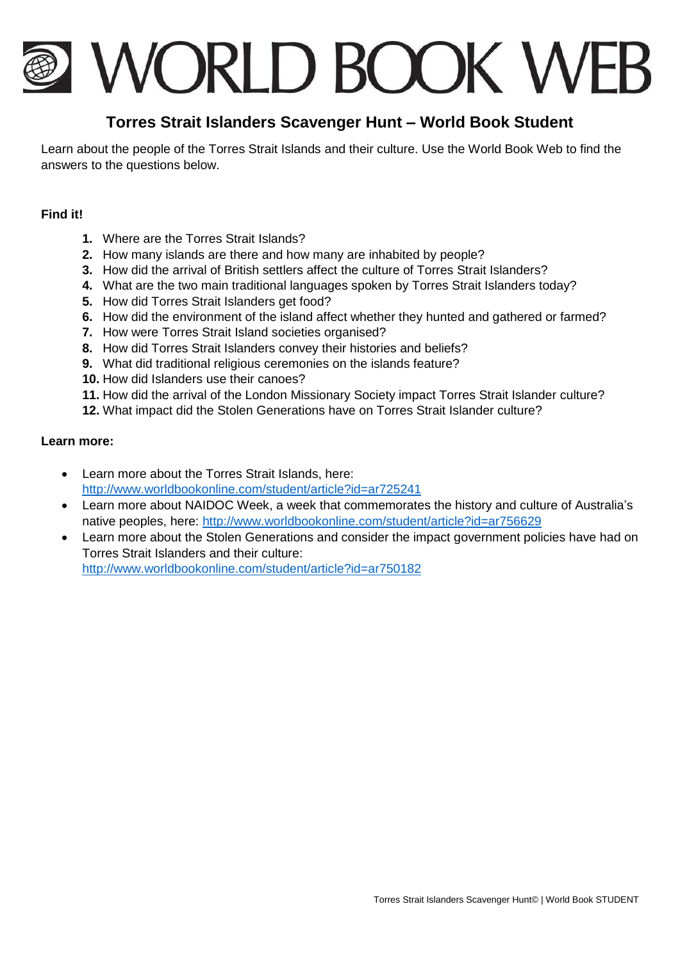# **I WORLD BOOK WEB**

# **Torres Strait Islanders Scavenger Hunt – World Book Student**

Learn about the people of the Torres Strait Islands and their culture. Use the World Book Web to find the answers to the questions below.

## **Find it!**

- **1.** Where are the Torres Strait Islands?
- **2.** How many islands are there and how many are inhabited by people?
- **3.** How did the arrival of British settlers affect the culture of Torres Strait Islanders?
- **4.** What are the two main traditional languages spoken by Torres Strait Islanders today?
- **5.** How did Torres Strait Islanders get food?
- **6.** How did the environment of the island affect whether they hunted and gathered or farmed?
- **7.** How were Torres Strait Island societies organised?
- **8.** How did Torres Strait Islanders convey their histories and beliefs?
- **9.** What did traditional religious ceremonies on the islands feature?
- **10.** How did Islanders use their canoes?
- **11.** How did the arrival of the London Missionary Society impact Torres Strait Islander culture?
- **12.** What impact did the Stolen Generations have on Torres Strait Islander culture?

### **Learn more:**

- Learn more about the Torres Strait Islands, here: <http://www.worldbookonline.com/student/article?id=ar725241>
- Learn more about NAIDOC Week, a week that commemorates the history and culture of Australia's native peoples, here:<http://www.worldbookonline.com/student/article?id=ar756629>
- Learn more about the Stolen Generations and consider the impact government policies have had on Torres Strait Islanders and their culture:

<http://www.worldbookonline.com/student/article?id=ar750182>